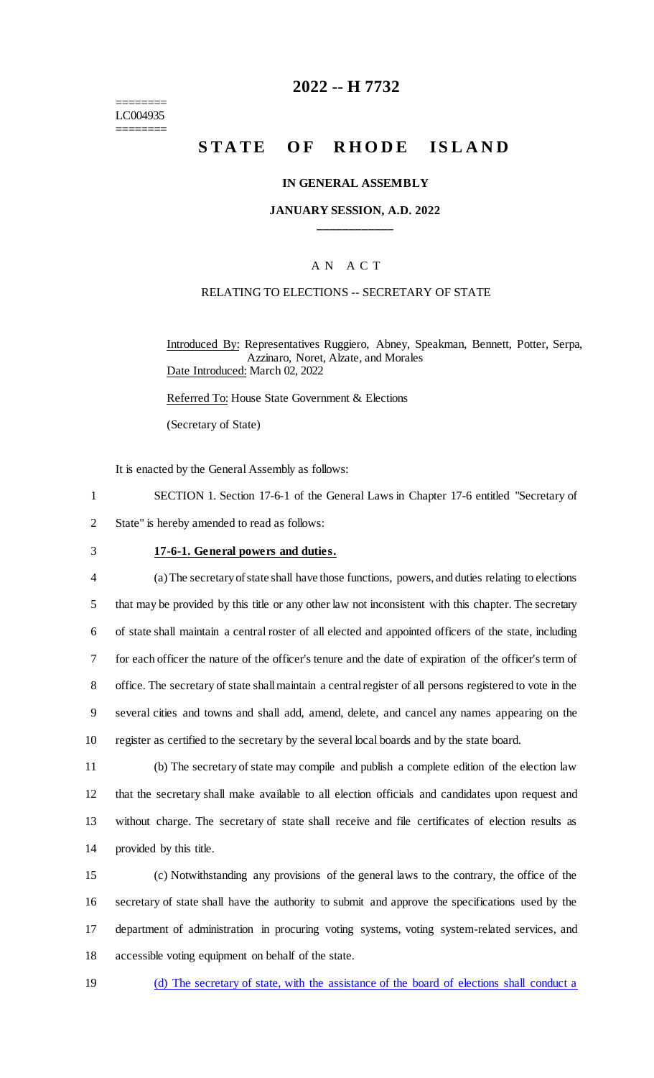======== LC004935 ========

# **2022 -- H 7732**

# **STATE OF RHODE ISLAND**

### **IN GENERAL ASSEMBLY**

### **JANUARY SESSION, A.D. 2022 \_\_\_\_\_\_\_\_\_\_\_\_**

# A N A C T

### RELATING TO ELECTIONS -- SECRETARY OF STATE

Introduced By: Representatives Ruggiero, Abney, Speakman, Bennett, Potter, Serpa, Azzinaro, Noret, Alzate, and Morales Date Introduced: March 02, 2022

Referred To: House State Government & Elections

(Secretary of State)

It is enacted by the General Assembly as follows:

1 SECTION 1. Section 17-6-1 of the General Laws in Chapter 17-6 entitled "Secretary of

2 State" is hereby amended to read as follows:

#### 3 **17-6-1. General powers and duties.**

 (a) The secretary of state shall have those functions, powers, and duties relating to elections that may be provided by this title or any other law not inconsistent with this chapter. The secretary of state shall maintain a central roster of all elected and appointed officers of the state, including for each officer the nature of the officer's tenure and the date of expiration of the officer's term of office. The secretary of state shall maintain a central register of all persons registered to vote in the several cities and towns and shall add, amend, delete, and cancel any names appearing on the register as certified to the secretary by the several local boards and by the state board.

 (b) The secretary of state may compile and publish a complete edition of the election law that the secretary shall make available to all election officials and candidates upon request and without charge. The secretary of state shall receive and file certificates of election results as provided by this title.

 (c) Notwithstanding any provisions of the general laws to the contrary, the office of the secretary of state shall have the authority to submit and approve the specifications used by the department of administration in procuring voting systems, voting system-related services, and accessible voting equipment on behalf of the state.

19 (d) The secretary of state, with the assistance of the board of elections shall conduct a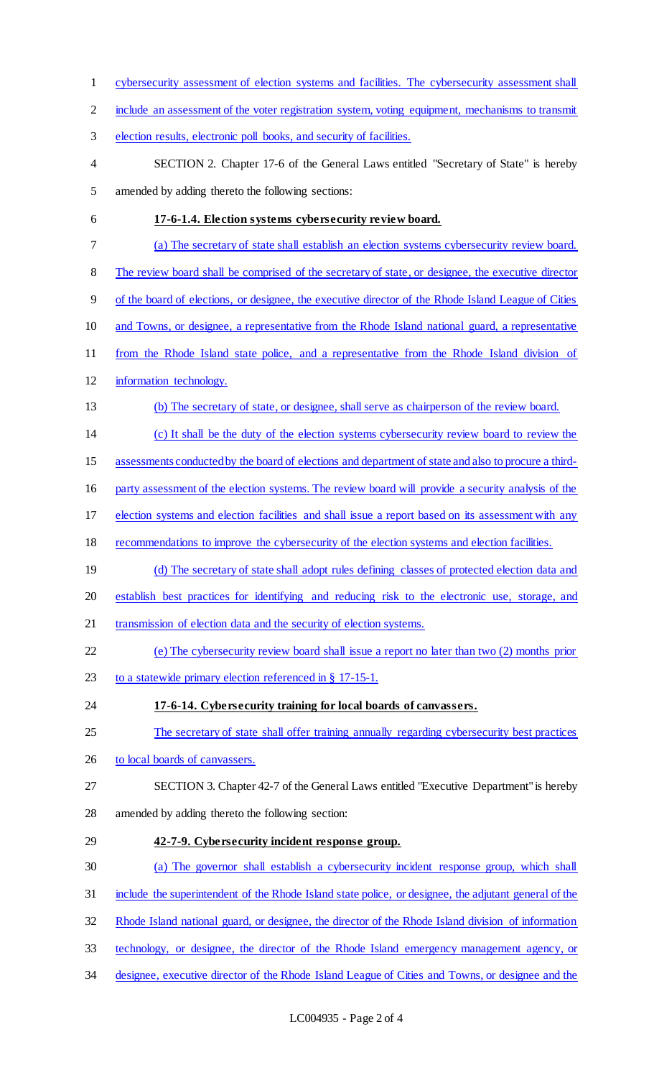cybersecurity assessment of election systems and facilities. The cybersecurity assessment shall include an assessment of the voter registration system, voting equipment, mechanisms to transmit election results, electronic poll books, and security of facilities. SECTION 2. Chapter 17-6 of the General Laws entitled "Secretary of State" is hereby amended by adding thereto the following sections: **17-6-1.4. Election systems cybersecurity review board.**  (a) The secretary of state shall establish an election systems cybersecurity review board. The review board shall be comprised of the secretary of state, or designee, the executive director of the board of elections, or designee, the executive director of the Rhode Island League of Cities 10 and Towns, or designee, a representative from the Rhode Island national guard, a representative from the Rhode Island state police, and a representative from the Rhode Island division of information technology. (b) The secretary of state, or designee, shall serve as chairperson of the review board. (c) It shall be the duty of the election systems cybersecurity review board to review the assessments conducted by the board of elections and department of state and also to procure a third- party assessment of the election systems. The review board will provide a security analysis of the election systems and election facilities and shall issue a report based on its assessment with any recommendations to improve the cybersecurity of the election systems and election facilities. 19 (d) The secretary of state shall adopt rules defining classes of protected election data and establish best practices for identifying and reducing risk to the electronic use, storage, and transmission of election data and the security of election systems. (e) The cybersecurity review board shall issue a report no later than two (2) months prior 23 to a statewide primary election referenced in § 17-15-1. **17-6-14. Cybersecurity training for local boards of canvassers.**  The secretary of state shall offer training annually regarding cybersecurity best practices 26 to local boards of canvassers. SECTION 3. Chapter 42-7 of the General Laws entitled "Executive Department" is hereby amended by adding thereto the following section: **42-7-9. Cybersecurity incident response group.**  (a) The governor shall establish a cybersecurity incident response group, which shall include the superintendent of the Rhode Island state police, or designee, the adjutant general of the Rhode Island national guard, or designee, the director of the Rhode Island division of information technology, or designee, the director of the Rhode Island emergency management agency, or designee, executive director of the Rhode Island League of Cities and Towns, or designee and the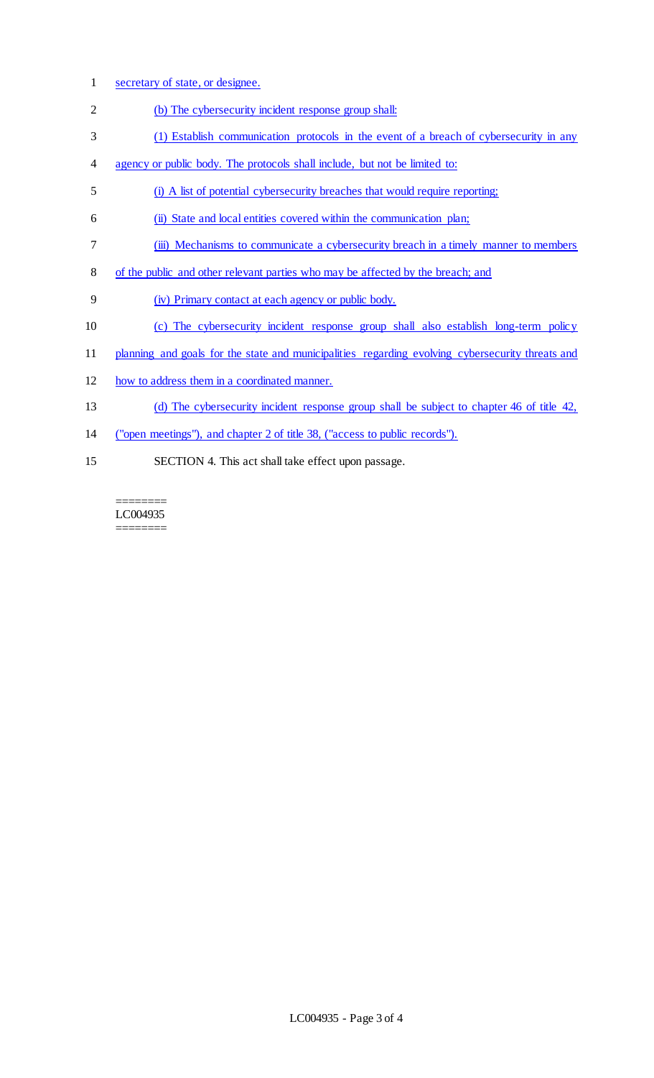- secretary of state, or designee.
- (b) The cybersecurity incident response group shall:
- (1) Establish communication protocols in the event of a breach of cybersecurity in any
- agency or public body. The protocols shall include, but not be limited to:
- (i) A list of potential cybersecurity breaches that would require reporting;
- (ii) State and local entities covered within the communication plan;
- 7 (iii) Mechanisms to communicate a cybersecurity breach in a timely manner to members
- of the public and other relevant parties who may be affected by the breach; and
- (iv) Primary contact at each agency or public body.
- (c) The cybersecurity incident response group shall also establish long-term policy
- planning and goals for the state and municipalities regarding evolving cybersecurity threats and
- how to address them in a coordinated manner.
- (d) The cybersecurity incident response group shall be subject to chapter 46 of title 42,
- ("open meetings"), and chapter 2 of title 38, ("access to public records").
- SECTION 4. This act shall take effect upon passage.

======== LC004935 ========